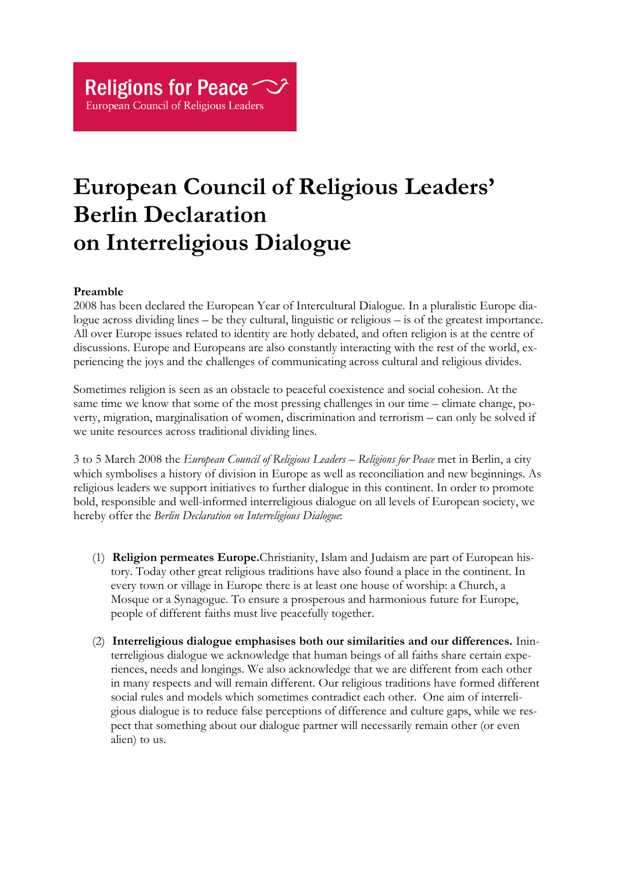## **European Council of Religious Leaders' Berlin Declaration on Interreligious Dialogue**

## **Preamble**

2008 has been declared the European Year of Intercultural Dialogue. In a pluralistic Europe dialogue across dividing lines – be they cultural, linguistic or religious – is of the greatest importance. All over Europe issues related to identity are hotly debated, and often religion is at the centre of discussions. Europe and Europeans are also constantly interacting with the rest of the world, experiencing the joys and the challenges of communicating across cultural and religious divides.

Sometimes religion is seen as an obstacle to peaceful coexistence and social cohesion. At the same time we know that some of the most pressing challenges in our time – climate change, poverty, migration, marginalisation of women, discrimination and terrorism – can only be solved if we unite resources across traditional dividing lines.

3 to 5 March 2008 the *European Council of Religious Leaders – Religions for Peace* met in Berlin, a city which symbolises a history of division in Europe as well as reconciliation and new beginnings. As religious leaders we support initiatives to further dialogue in this continent. In order to promote bold, responsible and well-informed interreligious dialogue on all levels of European society, we hereby offer the *Berlin Declaration on Interreligious Dialogue*:

- (1) **Religion permeates Europe.**Christianity, Islam and Judaism are part of European history. Today other great religious traditions have also found a place in the continent. In every town or village in Europe there is at least one house of worship: a Church, a Mosque or a Synagogue. To ensure a prosperous and harmonious future for Europe, people of different faiths must live peacefully together.
- (2) **Interreligious dialogue emphasises both our similarities and our differences.** Ininterreligious dialogue we acknowledge that human beings of all faiths share certain experiences, needs and longings. We also acknowledge that we are different from each other in many respects and will remain different. Our religious traditions have formed different social rules and models which sometimes contradict each other. One aim of interreligious dialogue is to reduce false perceptions of difference and culture gaps, while we respect that something about our dialogue partner will necessarily remain other (or even alien) to us.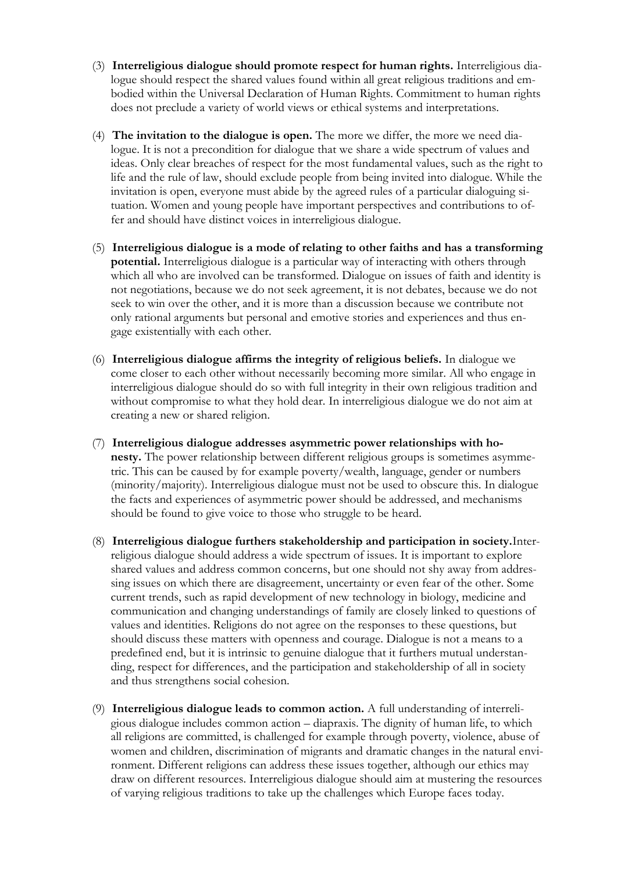- (3) **Interreligious dialogue should promote respect for human rights.** Interreligious dialogue should respect the shared values found within all great religious traditions and embodied within the Universal Declaration of Human Rights. Commitment to human rights does not preclude a variety of world views or ethical systems and interpretations.
- (4) **The invitation to the dialogue is open.** The more we differ, the more we need dialogue. It is not a precondition for dialogue that we share a wide spectrum of values and ideas. Only clear breaches of respect for the most fundamental values, such as the right to life and the rule of law, should exclude people from being invited into dialogue. While the invitation is open, everyone must abide by the agreed rules of a particular dialoguing situation. Women and young people have important perspectives and contributions to offer and should have distinct voices in interreligious dialogue.
- (5) **Interreligious dialogue is a mode of relating to other faiths and has a transforming potential.** Interreligious dialogue is a particular way of interacting with others through which all who are involved can be transformed. Dialogue on issues of faith and identity is not negotiations, because we do not seek agreement, it is not debates, because we do not seek to win over the other, and it is more than a discussion because we contribute not only rational arguments but personal and emotive stories and experiences and thus engage existentially with each other.
- (6) **Interreligious dialogue affirms the integrity of religious beliefs.** In dialogue we come closer to each other without necessarily becoming more similar. All who engage in interreligious dialogue should do so with full integrity in their own religious tradition and without compromise to what they hold dear. In interreligious dialogue we do not aim at creating a new or shared religion.
- (7) **Interreligious dialogue addresses asymmetric power relationships with honesty.** The power relationship between different religious groups is sometimes asymmetric. This can be caused by for example poverty/wealth, language, gender or numbers (minority/majority). Interreligious dialogue must not be used to obscure this. In dialogue the facts and experiences of asymmetric power should be addressed, and mechanisms should be found to give voice to those who struggle to be heard.
- (8) **Interreligious dialogue furthers stakeholdership and participation in society.**Interreligious dialogue should address a wide spectrum of issues. It is important to explore shared values and address common concerns, but one should not shy away from addressing issues on which there are disagreement, uncertainty or even fear of the other. Some current trends, such as rapid development of new technology in biology, medicine and communication and changing understandings of family are closely linked to questions of values and identities. Religions do not agree on the responses to these questions, but should discuss these matters with openness and courage. Dialogue is not a means to a predefined end, but it is intrinsic to genuine dialogue that it furthers mutual understanding, respect for differences, and the participation and stakeholdership of all in society and thus strengthens social cohesion.
- (9) **Interreligious dialogue leads to common action.** A full understanding of interreligious dialogue includes common action – diapraxis. The dignity of human life, to which all religions are committed, is challenged for example through poverty, violence, abuse of women and children, discrimination of migrants and dramatic changes in the natural environment. Different religions can address these issues together, although our ethics may draw on different resources. Interreligious dialogue should aim at mustering the resources of varying religious traditions to take up the challenges which Europe faces today.